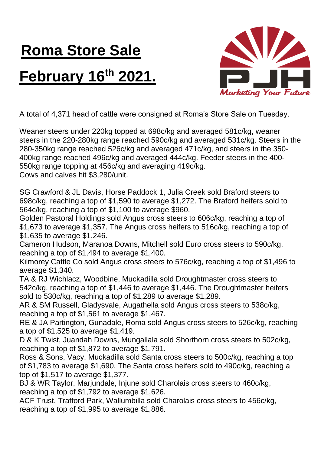## **Roma Store Sale February 16th 2021.**



A total of 4,371 head of cattle were consigned at Roma's Store Sale on Tuesday.

Weaner steers under 220kg topped at 698c/kg and averaged 581c/kg, weaner steers in the 220-280kg range reached 590c/kg and averaged 531c/kg. Steers in the 280-350kg range reached 526c/kg and averaged 471c/kg, and steers in the 350- 400kg range reached 496c/kg and averaged 444c/kg. Feeder steers in the 400- 550kg range topping at 456c/kg and averaging 419c/kg. Cows and calves hit \$3,280/unit.

SG Crawford & JL Davis, Horse Paddock 1, Julia Creek sold Braford steers to 698c/kg, reaching a top of \$1,590 to average \$1,272. The Braford heifers sold to 564c/kg, reaching a top of \$1,100 to average \$960.

Golden Pastoral Holdings sold Angus cross steers to 606c/kg, reaching a top of \$1,673 to average \$1,357. The Angus cross heifers to 516c/kg, reaching a top of \$1,635 to average \$1,246.

Cameron Hudson, Maranoa Downs, Mitchell sold Euro cross steers to 590c/kg, reaching a top of \$1,494 to average \$1,400.

Kilmorey Cattle Co sold Angus cross steers to 576c/kg, reaching a top of \$1,496 to average \$1,340.

TA & RJ Wichlacz, Woodbine, Muckadilla sold Droughtmaster cross steers to 542c/kg, reaching a top of \$1,446 to average \$1,446. The Droughtmaster heifers sold to 530c/kg, reaching a top of \$1,289 to average \$1,289.

AR & SM Russell, Gladysvale, Augathella sold Angus cross steers to 538c/kg, reaching a top of \$1,561 to average \$1,467.

RE & JA Partington, Gunadale, Roma sold Angus cross steers to 526c/kg, reaching a top of \$1,525 to average \$1,419.

D & K Twist, Juandah Downs, Mungallala sold Shorthorn cross steers to 502c/kg, reaching a top of \$1,872 to average \$1,791.

Ross & Sons, Vacy, Muckadilla sold Santa cross steers to 500c/kg, reaching a top of \$1,783 to average \$1,690. The Santa cross heifers sold to 490c/kg, reaching a top of \$1,517 to average \$1,377.

BJ & WR Taylor, Marjundale, Injune sold Charolais cross steers to 460c/kg, reaching a top of \$1,792 to average \$1,626.

ACF Trust, Trafford Park, Wallumbilla sold Charolais cross steers to 456c/kg, reaching a top of \$1,995 to average \$1,886.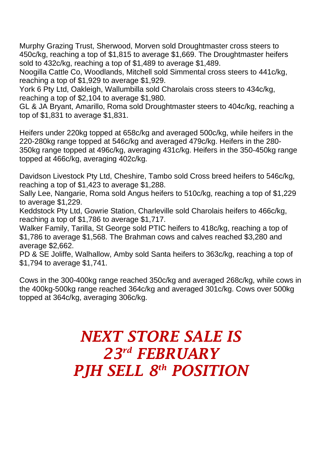Murphy Grazing Trust, Sherwood, Morven sold Droughtmaster cross steers to 450c/kg, reaching a top of \$1,815 to average \$1,669. The Droughtmaster heifers sold to 432c/kg, reaching a top of \$1,489 to average \$1,489.

Noogilla Cattle Co, Woodlands, Mitchell sold Simmental cross steers to 441c/kg, reaching a top of \$1,929 to average \$1,929.

York 6 Pty Ltd, Oakleigh, Wallumbilla sold Charolais cross steers to 434c/kg, reaching a top of \$2,104 to average \$1,980.

GL & JA Bryant, Amarillo, Roma sold Droughtmaster steers to 404c/kg, reaching a top of \$1,831 to average \$1,831.

Heifers under 220kg topped at 658c/kg and averaged 500c/kg, while heifers in the 220-280kg range topped at 546c/kg and averaged 479c/kg. Heifers in the 280- 350kg range topped at 496c/kg, averaging 431c/kg. Heifers in the 350-450kg range topped at 466c/kg, averaging 402c/kg.

Davidson Livestock Pty Ltd, Cheshire, Tambo sold Cross breed heifers to 546c/kg, reaching a top of \$1,423 to average \$1,288.

Sally Lee, Nangarie, Roma sold Angus heifers to 510c/kg, reaching a top of \$1,229 to average \$1,229.

Keddstock Pty Ltd, Gowrie Station, Charleville sold Charolais heifers to 466c/kg, reaching a top of \$1,786 to average \$1,717.

Walker Family, Tarilla, St George sold PTIC heifers to 418c/kg, reaching a top of \$1,786 to average \$1,568. The Brahman cows and calves reached \$3,280 and average \$2,662.

PD & SE Joliffe, Walhallow, Amby sold Santa heifers to 363c/kg, reaching a top of \$1,794 to average \$1,741.

Cows in the 300-400kg range reached 350c/kg and averaged 268c/kg, while cows in the 400kg-500kg range reached 364c/kg and averaged 301c/kg. Cows over 500kg topped at 364c/kg, averaging 306c/kg.

## *NEXT STORE SALE IS 23rd FEBRUARY PJH SELL 8 th POSITION*